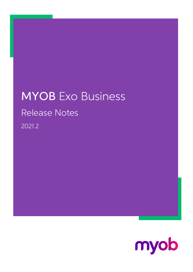# MYOB Exo Business Release Notes 2021.2

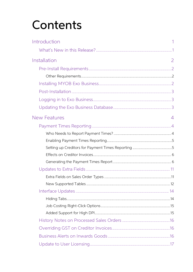# Contents

| Introduction        |   |
|---------------------|---|
|                     |   |
| Installation        | 2 |
|                     |   |
|                     |   |
|                     |   |
|                     |   |
|                     |   |
|                     |   |
| <b>New Features</b> | 4 |
|                     |   |
|                     |   |
|                     |   |
|                     |   |
|                     |   |
|                     |   |
|                     |   |
|                     |   |
|                     |   |
|                     |   |
|                     |   |
|                     |   |
|                     |   |
|                     |   |
|                     |   |
|                     |   |
|                     |   |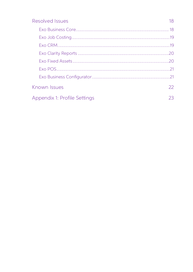| Resolved Issues              | 18 |
|------------------------------|----|
|                              |    |
|                              |    |
|                              |    |
|                              |    |
|                              | 20 |
|                              | 21 |
|                              |    |
| Known Issues                 | 22 |
| Appendix 1: Profile Settings | 23 |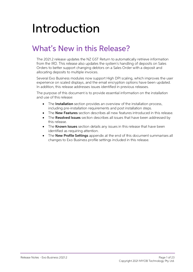# <span id="page-3-0"></span>Introduction

# <span id="page-3-1"></span>What's New in this Release?

The 2021.2 release updates the NZ GST Return to automatically retrieve information from the IRD. This release also updates the system's handling of deposits on Sales Orders to better support changing debtors on a Sales Ord

Several Exo Business modules now support High DPI scaling, which improves the user experience on scaled displays, and the email encryption options have been updated.<br>In addition, this release addresses issues identified in

The purpose of this document is to provide essential information on the installation and use of this release:

- The **Installation** section provides an overview of the installation process, including pre-installation requirements and post installation steps.
- The **New Features** section describes all new features introduced in this release.
- The **Resolved Issues** section describes all issues that have been addressed by this release.
- The Known Issues section details any issues in this release that have been identified as requiring attention.
- The **New Profile Settings** appendix at the end of this document summarises all changes to Exo Business profile settings included in this release.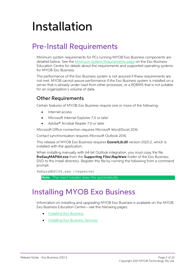# <span id="page-4-0"></span>Installation

# <span id="page-4-1"></span>Pre-Install Requirements

Minimum system requirements for PCs running MYOB Exo Business components are detailed below. See the <u>Minimum System Requirements page</u> on the Exo Business Education Centre for details about the requirements and supported

The performance of the Exo Business system is not assured if these requirements are not met. MYOB cannot assure performance if the Exo Business system is installed on a server that is already under load from other processe

### <span id="page-4-2"></span>Other Requirements

Certain features of MYOB Exo Business require one or more of the following:

- Internet access
- Microsoft Internet Explorer 7.0 or later
- Adobe® Acrobat Reader 7.0 or later

Microsoft Office connection requires Microsoft Word/Excel 2016.

Contact synchronisation requires Microsoft Outlook 2016.

This release of MYOB Exo Business requires **ExonetLib.dll** version 2020.2, which is installed with the application.

When installing manually with 64-bit Outlook integration, you must copy the file RwEasyMAPI64.exe from the Supporting Files\RapWare folder of the Exo Business DVD to the install directory. Register this file by running the following from a command prompt:

```
RwEasyMAPI64.exe /regserver
```
Note: The client installer does this automatically.

### <span id="page-4-3"></span>Installing MYOB Exo Business

Information on installing and upgrading MYOB Exo Business is available on the MYOB Exo Business Education Centre see the following pages:

- [Installing Exo Business](http://help.myob.com.au/exo/installexobusiness.htm)
- [Installing Exo Business Services](http://help.myob.com.au/exo/installexobusinessservices.htm)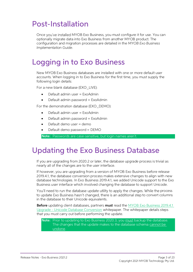## <span id="page-5-0"></span>Post-Installation

Once you've installed MYOB Exo Business, you must configure it for use. You can optionally migrate data into Exo Business from another MYOB product. The configuration and migration processes are detailed in the MYOB Exo Bu

## <span id="page-5-1"></span>Logging in to Exo Business

New MYOB Exo Business databases are installed with one or more default user<br>accounts. When logging in to Exo Business for the first time, you must supply the<br>following login details:

For a new blank database (EXO LIVE):

- $\bullet$  Default admin user = ExoAdmin
- Default admin password = ExoAdmin

For the demonstration database (EXO DEMO):

- Default admin user = ExoAdmin
- $\bullet$  Default admin password = ExoAdmin
- Default demo user = demo
- Default demo password = DEMO

Note: Passwords are case-sensitive, but login names aren't.

### <span id="page-5-2"></span>Updating the Exo Business Database

If you are upgrading from 2020.2 or later, the database upgrade process is trivial as<br>nearly all of the changes are to the user interface.<br>If however, you are upgrading from a version of MYOB Exo Business before release<br>20

You'll need to run the database update utility to apply the changes. While the process<br>to update Exo Business hasn't changed, there is an additional step to convert columns<br>in the database to their Unicode equivalents.

Before updating client databases, partners must read the <u>MYOB Exo Business 2019.4.1</u><br>Upgrade - Unicode Database Conversion whitepaper. The whitepaper details steps that you must carry out before performing the update.

Note: Prior to updating to Exo Business 2020.3, you <u>must</u> backup the database.<br>The changes that the update makes to the database schema cannot be undone.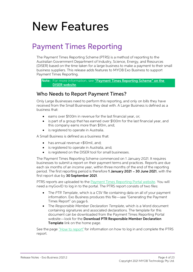# <span id="page-6-0"></span>New Features

## <span id="page-6-1"></span>Payment Times Reporting

The Payment Times Reporting Scheme (PTRS) is a method of reporting to the<br>Australian Government Department of Industry, Science, Energy, and Resources<br>(DISER) based on the time taken for a large business to make a payment

Note:For more information, see "Payment Times Reporting Scheme" on the [DISER website](https://www.industry.gov.au/regulations-and-standards/payment-times-reporting-scheme).

### <span id="page-6-2"></span>Who Needs to Report Payment Times?

Only Large Businesses need to perform this reporting, and only on bills they have received from the Small Businesses they deal with. A Large Business is defined as a business that:

- earns over \$100m in revenue for the last financial year, or;
- is part of a group that has earned over \$100m for the last financial year, and this company earns more than \$10m, and;
- is registered to operate in Australia.

A Small Business is defined as a business that:

- has annual revenue <\$10mil, and;
- is registered to operate in Australia, and;
- is registered on the DISER tool for small businesses.

The Payment Times Reporting Scheme commenced on 1 January 2021. It requires<br>businesses to submit a report on their payment terms and practices. Reports are due<br>each six months of an income year, within three months of the

PTRS reports are uploaded to the **Payment Times Reporting Portal website**. You will need a myGovID to log in to the portal. The PTRS report consists of two files:

- The PTR Template, which is a CSV file containing data on all of your payment information. Exo Business produces this file—see "Generating the Payment [Times Report](#page-8-1)" on page 6.
- The Responsible Member Declaration Template, which is a Word document<br>containing signatures and associated declarations. The template for this<br>document can be downloaded from the Payment Times Reporting Portal<br>website—look

Seethe page *"How to report"* for information on how to log in and complete the PTRS report.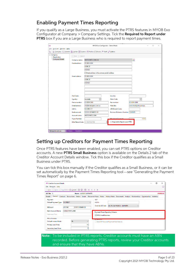### <span id="page-7-0"></span>Enabling Payment Times Reporting

If you qualify as a Large Business, you must activate the PTRS features in MYOB Exo<br>Configurator at Company > Company Settings. Tick the **Required to Report under<br>PTRS** box if you are a Large Business who is required to re

| <b>CX</b>                      |                                   | MYOB Exo Configurator - Demo Mode                                                     |                                     |                      |  | □ | $\times$ |  |
|--------------------------------|-----------------------------------|---------------------------------------------------------------------------------------|-------------------------------------|----------------------|--|---|----------|--|
| File Account Window Help       |                                   |                                                                                       |                                     |                      |  |   |          |  |
| ង្គ្រឹ                         |                                   | Gompany Essential B Admin YY System PY Profiles En Forms PR Staff & Utilities         |                                     |                      |  |   |          |  |
| $\vee$ Company<br>Registration | Save & Cancel                     |                                                                                       |                                     |                      |  |   |          |  |
| <b>Company Details</b>         | Company name:                     | $\left\vert \begin{array}{c} 0 \\ 0 \\ 0 \end{array} \right\vert$<br>MOTOPARTZ.COM.AU |                                     |                      |  |   |          |  |
|                                | Postal address:                   | <b>PO BOX 6894</b>                                                                    |                                     |                      |  |   |          |  |
|                                |                                   | <b>YORK ST</b>                                                                        |                                     |                      |  |   |          |  |
|                                |                                   | <b>SYDNEY</b>                                                                         |                                     |                      |  |   |          |  |
|                                |                                   | $\sqrt{\ }$ Street address is the same as postal address                              |                                     |                      |  |   |          |  |
|                                | <b>Street address:</b>            | <b>PO BOX 6894</b>                                                                    |                                     |                      |  |   |          |  |
|                                |                                   | <b>YORK ST</b>                                                                        |                                     |                      |  |   |          |  |
|                                |                                   | <b>SYDNEY</b>                                                                         |                                     |                      |  |   |          |  |
|                                |                                   |                                                                                       |                                     |                      |  |   |          |  |
|                                |                                   |                                                                                       |                                     |                      |  |   |          |  |
|                                |                                   |                                                                                       |                                     |                      |  |   |          |  |
|                                | Post Code:                        |                                                                                       | Locality:                           |                      |  |   |          |  |
|                                | Country:                          | Australia<br>$\checkmark$                                                             | <b>State Code:</b>                  | $\checkmark$         |  |   |          |  |
|                                | Phone number:                     | 02-8234-2800                                                                          | Fax number:                         | 02-8234-2899         |  |   |          |  |
|                                | <b>Email address:</b>             | info@motopartz.com.au                                                                 | <b>Web Site:</b>                    | www.motopartz.com.au |  |   |          |  |
|                                | A.B.N.:                           | 123-084-217                                                                           | <b>ATO Branch Code:</b>             |                      |  |   |          |  |
|                                | <b>Bank account:</b>              | 123333-321646313-50                                                                   | Business Reference Number: 12345678 |                      |  |   |          |  |
|                                | Account name:                     | MOTOPARTZ.COM                                                                         |                                     |                      |  |   |          |  |
|                                | Payee Number:                     |                                                                                       | 10000                               |                      |  |   |          |  |
|                                | Biller Name/Code: - 1. NOT ACTIVE |                                                                                       | Required to Report under PTRS       |                      |  |   |          |  |
|                                |                                   |                                                                                       |                                     |                      |  |   |          |  |
|                                |                                   |                                                                                       |                                     |                      |  |   |          |  |
| Motopartz.com.au               | ExoAdmin<br>Demo                  |                                                                                       |                                     |                      |  |   |          |  |

### <span id="page-7-1"></span>Setting up Creditors for Payment Times Reporting

Once PTRS features have been enabled, you can set PTRS options on Creditor<br>accounts. A new **PTRS Small Business** option is available on the Details 2 tab of the<br>Creditor Account Details window. Tick this box if the Credito

You can tick this box manually if the Creditor qualifies as a Small Business, or it can be set automatically by the Payment Times Reporting tool—see "[Generating the Payment Times Report](#page-8-1)" on page 6.

| <b>EB</b> Creditor Account Details                                                                                                                      |                             |                        |  |                                                        |                   |                              |                                       |  |  |  |  | X              |
|---------------------------------------------------------------------------------------------------------------------------------------------------------|-----------------------------|------------------------|--|--------------------------------------------------------|-------------------|------------------------------|---------------------------------------|--|--|--|--|----------------|
| Eile Navigate Help                                                                                                                                      |                             |                        |  |                                                        |                   |                              |                                       |  |  |  |  | Œ              |
| □ New   □ Save ⊠ Save & Exit ⊗ Cancel   Ⅲ   ■   ■   ■   ■   ★ 〈 〉 > →                                                                                   |                             |                        |  |                                                        |                   |                              |                                       |  |  |  |  |                |
| $A/C$ No: $8$                                                                                                                                           |                             | Name: AUSSIE CAR PARTS |  |                                                        |                   |                              |                                       |  |  |  |  | <b>OVERDUE</b> |
| Details 1 Details 2 Contacts Transactions Orders Serials Discounts/Prices Notes History Notes Documents Analysis Relationships Opportunities Activities |                             |                        |  |                                                        |                   |                              |                                       |  |  |  |  |                |
| Payment                                                                                                                                                 |                             |                        |  |                                                        | <b>GST</b>        |                              |                                       |  |  |  |  |                |
| <b>Default Payment Type:</b>                                                                                                                            | <b>D/CREDIT</b>             |                        |  | $\checkmark$                                           | A.B.N.:           |                              |                                       |  |  |  |  |                |
| <b>BSB Acc#</b>                                                                                                                                         | 435-543<br>01023-3165465-00 |                        |  | <b>Override GST rate:</b><br>26.0% CAP PURCH - IMPORTS |                   |                              |                                       |  |  |  |  |                |
| <b>Bank Account Name:</b>                                                                                                                               | <b>AUSSIE PART LAND</b>     |                        |  |                                                        |                   |                              |                                       |  |  |  |  |                |
| <b>Statement Text:</b>                                                                                                                                  |                             |                        |  |                                                        |                   | <b>□ PTRS Small Business</b> | <b>Payment Times Reporting Scheme</b> |  |  |  |  |                |
| <b>Miscellaneous</b>                                                                                                                                    |                             |                        |  |                                                        |                   |                              |                                       |  |  |  |  |                |
| Default Invoice Mode:                                                                                                                                   | GL                          |                        |  |                                                        | <b>Memmurence</b> |                              | Send M-Powered Payment Remittances    |  |  |  |  |                |
| Primary Lead Time:                                                                                                                                      |                             |                        |  | 14                                                     |                   |                              |                                       |  |  |  |  |                |
| Secondary Lead Time:                                                                                                                                    |                             |                        |  |                                                        |                   |                              |                                       |  |  |  |  |                |
|                                                                                                                                                         |                             |                        |  |                                                        |                   |                              |                                       |  |  |  |  |                |
| <b>lote:</b> To be included in PTRS reports, Creditor accounts must have an ABN                                                                         |                             |                        |  |                                                        |                   |                              |                                       |  |  |  |  |                |

recorded. Before generating PTRS reports, review your Creditor accounts and ensure that they have ABNs.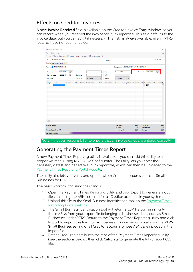### <span id="page-8-0"></span>Effects on Creditor Invoices

A new **Invoice Received** field is available on the Creditor Invoice Entry window, so you can record when you received the invoice for PTRS reporting. This field defaults to the invoice date, but you can edit it if necessar

| <b>EB</b> Creditor Invoice Entry                                            |               |                           |                    |                                            |                                                                                       | $\times$<br>$\Box$ |
|-----------------------------------------------------------------------------|---------------|---------------------------|--------------------|--------------------------------------------|---------------------------------------------------------------------------------------|--------------------|
| File Utilities Help                                                         |               |                           |                    |                                            |                                                                                       | ⊕                  |
| □ New   □ Save (x) Cancel   A Goods Receipt +   Actions + 8 Toggle Mode   目 |               |                           |                    |                                            |                                                                                       |                    |
| <b>Account: MISC PURCHASES</b>                                              |               |                           | Alert:             |                                            |                                                                                       | Mode: GL           |
| Invoice Payments Documents                                                  |               |                           |                    |                                            |                                                                                       |                    |
|                                                                             |               |                           |                    |                                            |                                                                                       |                    |
| Account: 0. MISC PURCHASES                                                  |               |                           |                    | Salesperson: 8. EXO BUSINESS ADMIN ACCOUNT |                                                                                       |                    |
| ⊞▼<br>02.06.2021<br>Invoice date:                                           | Invoice no:   |                           | Age:               | 0. June 2021<br>$\checkmark$               | 02.06.2021<br><b>Invoice Received:</b>                                                | $\blacksquare$     |
| ⊪<br>Payment due:<br>02.06.2021                                             | Order no:     |                           | AUD:               | $\mathbf{1}$                               |                                                                                       |                    |
| Job code:                                                                   | Location:     | 1. Sydney<br>$\checkmark$ | Branch:            | $\checkmark$<br>0. SYDNEY                  |                                                                                       |                    |
|                                                                             |               |                           |                    |                                            |                                                                                       |                    |
| Code<br>Description<br>Type                                                 | @Price<br>Qty | Disc % Total<br>GST       | <b>Gross Total</b> |                                            | Job Code Cost Type Cost Group Batch Code Options Branch No Analysis ^<br>$\cdots$ GST |                    |
|                                                                             |               |                           |                    |                                            |                                                                                       |                    |
|                                                                             |               |                           |                    |                                            |                                                                                       |                    |
|                                                                             |               |                           |                    |                                            |                                                                                       |                    |
|                                                                             |               |                           |                    |                                            |                                                                                       |                    |
|                                                                             |               |                           |                    |                                            |                                                                                       |                    |
|                                                                             |               |                           |                    |                                            |                                                                                       |                    |
|                                                                             |               |                           |                    |                                            |                                                                                       |                    |
|                                                                             |               |                           |                    |                                            |                                                                                       |                    |
|                                                                             |               |                           |                    |                                            |                                                                                       |                    |
|                                                                             |               |                           |                    |                                            |                                                                                       |                    |
|                                                                             |               |                           |                    |                                            |                                                                                       | $\checkmark$       |
| $\left\langle \right\rangle$                                                |               |                           |                    |                                            |                                                                                       | $\,$               |
| <b>Invoice Totals:</b>                                                      |               |                           |                    | Sub total:                                 | 0.00<br>Payments:                                                                     | 0.00               |
|                                                                             |               |                           |                    | <b>GST</b> total                           | 0.00<br>Outstanding:                                                                  | 0.00               |
| Manual Rounding: 0.00                                                       |               |                           |                    | Invoice total:                             | 0.00<br>Change:                                                                       | 0.00               |
| Motopartz.com.au                                                            |               |                           |                    |                                            |                                                                                       |                    |

Note: It is your responsibility to ensure that all invoice dates are entered correctly.

### <span id="page-8-1"></span>Generating the Payment Times Report

A new Payment Times Reporting utility is available—you can add this utility to a<br>dropdown menu using MYOB Exo Configurator. The utility lets you enter the<br>necessary details and generate a PTRS report file, which can then b

The utility also lets you verify and update which Creditor accounts count as Small Businesses for PTRS.

The basic workflow for using the utility is:

- 1. Open the Payment Times Reporting utility and click **Export** to generate a CSV file containing the ABNs entered for all Creditor accounts in your system.
- 2. Upload this file to the Small Business Identification tool on the **Payment Times** Reporting Portal website.
- 3. The Small Business Identification tool will return a CSV file containing only<br>those ABNs from your export file belonging to businesses that count as Small<br>Businesses under PTRS. Return to the Payment Times Reporting uti Import to import this file into Exo Business. This will automatically tick the PTRS Small Business setting of all Creditor accounts whose ABNs are included in the import file.
- 4. Enter all required details into the tabs of the Payment Times Reporting utility (see the sections below), then click **Calculate** to generate the PTRS report CSV file.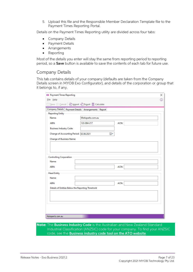5. Upload this file and the Responsible Member Declaration Template file to the [Payment Times Reporting Portal.](https://paymenttimes.industry.gov.au/)

Details on the Payment Times Reporting utility are divided across four tabs:

- Company Details
- Payment Details
- Arrangements
- Reporting

Most of the details you enter will stay the same from reporting period to reporting period, so a **Save** button is available to save the contents of each tab for future use.

#### Company Details

This tab contains details of your company (defaults are taken from the Company Details screen in MYOB Exo Configurator), and details of the corporation or group that it belongs to, if any.

|                                                           | $\Box$ Save $\otimes$ Cancel $\Box$ $\Box$ Import $\bigoplus$ Export $\boxplus$ Calculate |  |
|-----------------------------------------------------------|-------------------------------------------------------------------------------------------|--|
| Company Details   Payment Details   Arrangements   Report |                                                                                           |  |
| Reporting Entity                                          |                                                                                           |  |
| Name:                                                     | Motopartz.com.au                                                                          |  |
| ABN:                                                      | 123-084-217<br>ACN:                                                                       |  |
| <b>Business Industry Code:</b>                            |                                                                                           |  |
| Change of Accounting Period: 02.06.2021                   | ▦▾                                                                                        |  |
| Change of Business Name:                                  |                                                                                           |  |
|                                                           |                                                                                           |  |
|                                                           |                                                                                           |  |
|                                                           |                                                                                           |  |
|                                                           |                                                                                           |  |
| <b>Controlling Corporation</b>                            |                                                                                           |  |
|                                                           |                                                                                           |  |
| Name:                                                     |                                                                                           |  |
|                                                           |                                                                                           |  |
| ABN:                                                      | ACN:                                                                                      |  |
|                                                           |                                                                                           |  |
| Head Entity                                               |                                                                                           |  |
|                                                           |                                                                                           |  |
| Name:                                                     |                                                                                           |  |
| ABN:                                                      | ACN:                                                                                      |  |
|                                                           |                                                                                           |  |
| Details of Entities Below the Reporting Threshold         |                                                                                           |  |
|                                                           |                                                                                           |  |
|                                                           |                                                                                           |  |
|                                                           |                                                                                           |  |
|                                                           |                                                                                           |  |

**Note:**The **Business Industry Code** is the Australian and New Zealand Standard<br>Industrial Classification (ANZSIC) code for your company. To find your ANZSIC<br>code, see the **Business industry code tool on the ATO website**.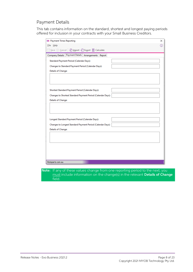#### Payment Details

This tab contains information on the standard, shortest and longest paying periods offered for inclusion in your contracts with your Small Business Creditors.

| <b>EB</b> Payment Times Reporting                                         | ×   |
|---------------------------------------------------------------------------|-----|
| File Help                                                                 | (i) |
| $\Box$ Save $\otimes$ Cancel $\Box$ Import $\Box$ Export $\Box$ Calculate |     |
| Company Details Payment Details Arrangements Report                       |     |
| Standard Payment Period (Calendar Days):                                  |     |
| Changes to Standard Payment Period (Calendar Days):                       |     |
| Details of Change:                                                        |     |
|                                                                           |     |
|                                                                           |     |
|                                                                           |     |
| Shortest Standard Payment Period (Calendar Days):                         |     |
| Changes to Shortest Standard Payment Period (Calendar Days):              |     |
| Details of Change:                                                        |     |
|                                                                           |     |
|                                                                           |     |
|                                                                           |     |
| Longest Standard Payment Period (Calendar Days):                          |     |
| Changes to Longest Standard Payment Period (Calendar Days):               |     |
| Details of Change:                                                        |     |
|                                                                           |     |
|                                                                           |     |
|                                                                           |     |
|                                                                           |     |
|                                                                           |     |
|                                                                           |     |
| Motopartz.com.au                                                          |     |

Note: If any of these values change from one reporting period to the next, you<br>must include information on the change(s) in the relevant Details of Change field.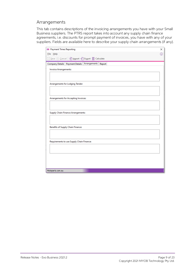#### Arrangements

This tab contains descriptions of the invoicing arrangements you have with your Small Business suppliers. The PTRS report takes into account any supply chain finance agreements, i.e. discounts for prompt payment of invoice

| File Help<br>⊕<br>Company Details Payment Details Arrangements Report<br><b>Invoice Arrangements:</b><br>Arrangements for Lodging Tender:<br>Arrangements for Accepting Invoices:<br><b>Supply Chain Finance Arrangements:</b><br><b>Benefits of Supply Chain Finance:</b><br>Requirements to use Supply Chain Finance:<br>Motopartz.com.au | <b>EB</b> Payment Times Reporting                                                     | × |
|---------------------------------------------------------------------------------------------------------------------------------------------------------------------------------------------------------------------------------------------------------------------------------------------------------------------------------------------|---------------------------------------------------------------------------------------|---|
|                                                                                                                                                                                                                                                                                                                                             |                                                                                       |   |
|                                                                                                                                                                                                                                                                                                                                             | $\Box$ Save $\otimes$ Cancel $\Box$ $\Box$ Import $\bigoplus$ Export $\Box$ Calculate |   |
|                                                                                                                                                                                                                                                                                                                                             |                                                                                       |   |
|                                                                                                                                                                                                                                                                                                                                             |                                                                                       |   |
|                                                                                                                                                                                                                                                                                                                                             |                                                                                       |   |
|                                                                                                                                                                                                                                                                                                                                             |                                                                                       |   |
|                                                                                                                                                                                                                                                                                                                                             |                                                                                       |   |
|                                                                                                                                                                                                                                                                                                                                             |                                                                                       |   |
|                                                                                                                                                                                                                                                                                                                                             |                                                                                       |   |
|                                                                                                                                                                                                                                                                                                                                             |                                                                                       |   |
|                                                                                                                                                                                                                                                                                                                                             |                                                                                       |   |
|                                                                                                                                                                                                                                                                                                                                             |                                                                                       |   |
|                                                                                                                                                                                                                                                                                                                                             |                                                                                       |   |
|                                                                                                                                                                                                                                                                                                                                             |                                                                                       |   |
|                                                                                                                                                                                                                                                                                                                                             |                                                                                       |   |
|                                                                                                                                                                                                                                                                                                                                             |                                                                                       |   |
|                                                                                                                                                                                                                                                                                                                                             |                                                                                       |   |
|                                                                                                                                                                                                                                                                                                                                             |                                                                                       |   |
|                                                                                                                                                                                                                                                                                                                                             |                                                                                       |   |
|                                                                                                                                                                                                                                                                                                                                             |                                                                                       |   |
|                                                                                                                                                                                                                                                                                                                                             |                                                                                       |   |
|                                                                                                                                                                                                                                                                                                                                             |                                                                                       |   |
|                                                                                                                                                                                                                                                                                                                                             |                                                                                       |   |
|                                                                                                                                                                                                                                                                                                                                             |                                                                                       |   |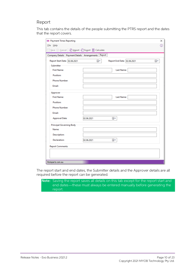#### Report

This tab contains the details of the people submitting the PTRS report and the dates that the report covers.

| <b>EB</b> Payment Times Reporting |                                                                           | X  |
|-----------------------------------|---------------------------------------------------------------------------|----|
| File Help                         |                                                                           | ⊕  |
|                                   | $\Box$ Save $\otimes$ Cancel $\Box$ Import $\Box$ Export $\Box$ Calculate |    |
|                                   | Company Details Payment Details Arrangements Report                       |    |
| Report Start Date: 02.06.2021     | ⊞▼<br>Report End Date: 02.06.2021                                         | ▦▾ |
| <b>Submitter</b>                  |                                                                           |    |
| <b>First Name:</b>                | Last Name:                                                                |    |
| Position:                         |                                                                           |    |
| Phone Number:                     |                                                                           |    |
| Email:                            |                                                                           |    |
| Approver                          |                                                                           |    |
| <b>First Name:</b>                | Last Name:                                                                |    |
| Position:                         |                                                                           |    |
| <b>Phone Number:</b>              |                                                                           |    |
| Email:                            |                                                                           |    |
| <b>Approval Date:</b>             | ⊞▼<br>02.06.2021                                                          |    |
| Principal Governing Body-         |                                                                           |    |
| Name:                             |                                                                           |    |
| Description:                      |                                                                           |    |
| Declaration:                      | 02.06.2021<br>▦▾                                                          |    |
| <b>Report Comments:</b>           |                                                                           |    |
|                                   |                                                                           |    |
|                                   |                                                                           |    |

The report start and end dates, the Submitter details and the Approver details are all required before the report can be generated.

Note: Saving the report saves all details on this tab except for the report start and end dates—these must always be entered manually before generating the report.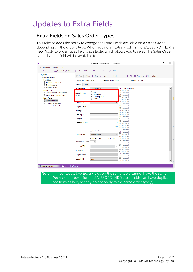## <span id="page-13-0"></span>Updates to Extra Fields

### <span id="page-13-1"></span>Extra Fields on Sales Order Types

This release adds the ability to change the Extra Fields available on a Sales Order depending on the order's type. When adding an Extra Field for the SALESORD\_HDR, a new Apply to order types field is available, which allow

| CX                                                                                                                                                                    |                         | MYOB Exo Configurator - Demo Mode                                                                                                                            | □ | $\times$ |
|-----------------------------------------------------------------------------------------------------------------------------------------------------------------------|-------------------------|--------------------------------------------------------------------------------------------------------------------------------------------------------------|---|----------|
| File Account Window Help                                                                                                                                              |                         |                                                                                                                                                              |   |          |
| Gompany $\frac{1}{2}$ Essential $\frac{15}{1000}$ Admin $\frac{100}{100}$ System $\frac{100}{100}$ Profiles $\frac{100}{100}$ Staff $\frac{100}{100}$ Utilities<br>Ľ. |                         |                                                                                                                                                              |   |          |
| $\vee$ System<br><b>Display Names</b>                                                                                                                                 |                         | □ New   <u>◇</u> Edit   □ Save ⊗ Cancel   Ⅲ Delete   K < > >   ■ Add Field ♂ Encryption                                                                      |   |          |
| $\vee$ Event Log<br><b>Event Reason Classes</b>                                                                                                                       | Table: SALESORD HDR     | Field: CUSTORDERNO<br>Display: Cust o/n                                                                                                                      |   |          |
| <b>Event Reasons</b>                                                                                                                                                  | Details Events          |                                                                                                                                                              |   |          |
| <b>Business Alerts</b>                                                                                                                                                | Table name:             | $\vee$ 01. CUSTORDERNO<br>SALESORD HDR                                                                                                                       |   |          |
| $\vee$ Email Service<br><b>Email Service Configuration</b><br><b>Email Time Configuration</b><br>$\vee$ Extra Fields<br><b>Standard Tables</b>                        | Apply to order<br>types | 02. Not used<br>$\sqrt{}$ Order<br>03. Not used<br>○ Quotation<br>04. Not used<br><b>Standing Order</b><br>05. Not used<br>$\boxtimes$ Layby<br>06. Not used |   |          |
| Custom Tables (API)                                                                                                                                                   | <b>RICHMONDIAN</b>      | 07. Not used<br>08. Not used                                                                                                                                 |   |          |
| <b>Manage Custom Tables</b>                                                                                                                                           | Display name:           | 09. Not used<br>10. Not used                                                                                                                                 |   |          |
|                                                                                                                                                                       | <b>Tooltip:</b>         | 11. Not used<br>12. Not used                                                                                                                                 |   |          |
|                                                                                                                                                                       | Data type:              | 13. Not used                                                                                                                                                 |   |          |
|                                                                                                                                                                       | Length:                 | 14. Not used<br>15. Not used                                                                                                                                 |   |          |
|                                                                                                                                                                       | Position (1-38):        | 16. Not used<br>2<br>17. Not used                                                                                                                            |   |          |
|                                                                                                                                                                       | Size:                   | 18. Not used<br>200<br>19. Not used                                                                                                                          |   |          |
|                                                                                                                                                                       |                         | 20. Not used<br>Grid Column                                                                                                                                  |   |          |
|                                                                                                                                                                       | Dialog type:            | 21. Not used<br>22. Not used<br><b>Standard Edit</b>                                                                                                         |   |          |
|                                                                                                                                                                       |                         | 23. Not used<br>Mixed Case<br>Read Only<br>24. Not used                                                                                                      |   |          |
|                                                                                                                                                                       | Number of Lines:        | 25. Not used<br>$\frac{\Delta}{\pi}$<br>26. Not used                                                                                                         |   |          |
|                                                                                                                                                                       | Lookup SQL              | 27. Not used                                                                                                                                                 |   |          |
|                                                                                                                                                                       |                         | 28. Not used<br>29. Not used                                                                                                                                 |   |          |
|                                                                                                                                                                       | Key field:              | 30. Not used<br>31. Not used                                                                                                                                 |   |          |
|                                                                                                                                                                       | Display field:          | 32. Not used                                                                                                                                                 |   |          |
|                                                                                                                                                                       | Copy field:             | 33. Not used<br>Always<br>34. Not used                                                                                                                       |   |          |
| Motopartz.com.au<br>Demo                                                                                                                                              | ExoAdmin                |                                                                                                                                                              |   |          |
|                                                                                                                                                                       |                         |                                                                                                                                                              |   |          |

Note: In most cases, two Extra Fields on the same table cannot have the same **Position** number—for the SALESORD\_HDR table, fields can have duplicate positions as long as they do not apply to the same order type(s).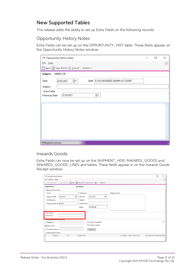### <span id="page-14-0"></span>New Supported Tables

This release adds the ability to set up Extra Fields on the following records.

#### Opportunity History Notes

Extra Fields can be set up on the OPPORTUNITY\_HIST table. These fields appear on the Opportunity History Notes window:

| <b>CR</b> Opportunity History Notes                               | □ | ×   |
|-------------------------------------------------------------------|---|-----|
| File Help                                                         |   | ⊕   |
| □ Save a Save & Exit ② Cancel   Actions ▼                         |   |     |
| Subject:<br><b>MERRS LTD</b>                                      |   |     |
| Staff: 8. EXO BUSINESS ADMIN ACCOUNT<br>▣∽<br>24.05.2021<br>Date: |   |     |
| Subject:                                                          |   |     |
| <b>Extra Fields</b>                                               |   |     |
| ▦▾<br>31.05.2021<br>Followup Date:                                |   |     |
|                                                                   |   |     |
|                                                                   |   |     |
|                                                                   |   |     |
|                                                                   |   |     |
|                                                                   |   |     |
|                                                                   |   |     |
|                                                                   |   |     |
| Motopartz.com.au                                                  |   | al. |

#### Inwards Goods

Extra Fields can now be set up on the SHIPMENT\_HDR, INWARDS\_GOODS and INWARDS\_GOODS\_LINES and tables. These fields appear in on the Inwards Goods Receipt window:

|                     | <b>EB</b> Inwards Goods Receipt |            |                |                     |                                                                               |                 |                          |                                     | $\Box$ | $\times$ |
|---------------------|---------------------------------|------------|----------------|---------------------|-------------------------------------------------------------------------------|-----------------|--------------------------|-------------------------------------|--------|----------|
|                     | File Utilities Help             |            |                |                     |                                                                               |                 |                          |                                     |        | ⊕        |
| ÷                   |                                 |            |                |                     | New Shipment   1 New Receipt   Save   Save & Exit (X) Cancel   av + Actions ▼ |                 |                          |                                     |        |          |
| <b>Shipment no:</b> |                                 |            |                | <b>Receipt no:</b>  |                                                                               |                 |                          |                                     |        |          |
|                     | Shipment information            |            |                |                     |                                                                               |                 |                          |                                     |        |          |
| Vessel:             |                                 |            |                | Shipping co:        |                                                                               | Shipping notes: |                          |                                     |        |          |
|                     | Departure date:                 | 25.05.2021 | $\blacksquare$ | <b>ETA Date:</b>    | ⊟▼<br>25.05.2021                                                              |                 |                          |                                     |        |          |
|                     | <b>Ext Reference:</b>           |            |                | Weight:             |                                                                               |                 |                          |                                     |        |          |
|                     | Shipping method: BY SEA         |            | $\checkmark$   | Includes PO#        |                                                                               |                 |                          |                                     |        |          |
|                     |                                 |            |                | <b>Status:</b>      | <b>ON BOARD</b><br>$\checkmark$                                               |                 |                          |                                     |        |          |
|                     |                                 |            |                |                     |                                                                               |                 |                          |                                     |        |          |
| <b>Extra Fields</b> |                                 |            |                |                     |                                                                               |                 |                          |                                     |        |          |
| Extra Field 1:      |                                 |            |                |                     |                                                                               |                 |                          |                                     |        |          |
|                     | Inwards goods receipts search   |            |                |                     |                                                                               |                 |                          |                                     |        |          |
| ○ Receipt no        |                                 |            |                |                     | <b>∞</b> Include Completed                                                    |                 |                          |                                     |        | ⊙        |
| Stock code          |                                 |            |                |                     | Include Invoiced                                                              |                 |                          |                                     |        |          |
|                     | ○ Purchase order no             |            |                |                     | Search                                                                        |                 |                          |                                     |        |          |
|                     | Inwards goods receipts          |            |                |                     |                                                                               |                 |                          |                                     |        |          |
| #                   | Supplier                        |            | Loc            | <b>Supplier Ref</b> |                                                                               |                 | Complete Num Cartons Inv | <b>Receipt Date Related Receipt</b> |        |          |
|                     |                                 |            |                |                     |                                                                               |                 |                          |                                     |        |          |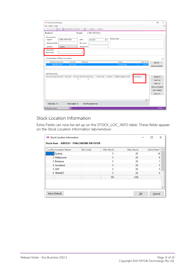| <b>EB</b> Inwards Goods Receipt                                                                                                                  |                                                                                   |                                             |                                | $\Box$<br>$\times$<br>- |
|--------------------------------------------------------------------------------------------------------------------------------------------------|-----------------------------------------------------------------------------------|---------------------------------------------|--------------------------------|-------------------------|
| File Utilities Help                                                                                                                              |                                                                                   |                                             |                                | $^{\circ}$              |
| □ New Receipt □ Save 図 Save & Exit ② Cancel   Ⅲ □ ▼ Costing ▼ Actions ▼                                                                          |                                                                                   |                                             |                                |                         |
| <b>Receipt no:</b>                                                                                                                               | 0. MISC PURCHASES<br><b>Account:</b>                                              |                                             |                                |                         |
| <b>Receipt details</b><br>0. MISC PURCHASES<br>Supplier:<br>Packing Slip/Ref:<br>Location:<br>1. Sydney<br><b>Extra Fields</b><br>Extra Field 2: | $\Box$<br>Date:<br>25.05.2021<br>No cartons:<br>Shipping ref:<br>$\checkmark$     | <b>Receipt notes:</b>                       |                                |                         |
| Purchase Orders ○ Show all Locations                                                                                                             |                                                                                   |                                             |                                | ⊙                       |
| Order No Order Date<br>Due Date<br>10082 06.12.2021<br>06.12.2021                                                                                | Reference                                                                         | <b>Status</b><br>Outstanding                | <b>Order Value</b><br>\$207.62 | Refresh                 |
|                                                                                                                                                  |                                                                                   |                                             |                                | <b>Receive Selected</b> |
| <b>IWG Receipt Lines</b>                                                                                                                         |                                                                                   | Extra Field 3                               |                                |                         |
| Pack Price Sup Price AUD<br>Discount                                                                                                             | Rec Qty Recv Pack Qty Expiry<br><b>Batch code</b><br>$\mathbf{0}$<br>$\mathbf{0}$ | <b>Fulfilled Analysis Codes</b><br>Location |                                | Receipt all             |
|                                                                                                                                                  |                                                                                   |                                             |                                | <b>Add Line</b>         |
|                                                                                                                                                  |                                                                                   |                                             |                                | <b>Split Line</b>       |
|                                                                                                                                                  |                                                                                   |                                             |                                | Clear un-receipted      |
|                                                                                                                                                  |                                                                                   |                                             |                                | <b>Line Fullfilled</b>  |
|                                                                                                                                                  |                                                                                   |                                             |                                | <b>Find Line</b>        |
| $\,<\,$                                                                                                                                          |                                                                                   |                                             | $\rightarrow$                  |                         |
| Total cubic: 0<br>Total weight: 0                                                                                                                | <b>Total Receipted Lines:</b>                                                     |                                             |                                |                         |
| Motopartz.com.au                                                                                                                                 |                                                                                   |                                             |                                | 0/2000                  |

### Stock Location Information

Extra Fields can now be set up on the STOCK\_LOC\_INFO table. These fields appear on the Stock Location Information tab/window:

| LocNo Location Name | <b>Bin Code</b> | Min Stock | Max Stock | Extra Field 1 |
|---------------------|-----------------|-----------|-----------|---------------|
| 1 Sydney            |                 | 5         | 20        | 16            |
| 2 Melbourne         |                 | 5         | 20        | 6             |
| 3 Brisbane          |                 | 5         | 20        |               |
| 4 Auckland          |                 | 5         | 20        | 5             |
| 5 WIP               |                 | 5         | 20        | 5             |
| <b>6 TRANSIT</b>    |                 | 5         | 20        | n             |
|                     |                 | 30        | 120       |               |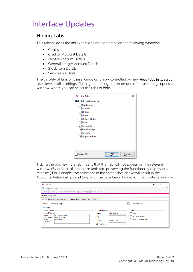### <span id="page-16-2"></span><span id="page-16-0"></span>Interface Updates

### <span id="page-16-1"></span>Hiding Tabs

This release adds the ability to hide unneeded tabs on the following windows:

- **Contacts**
- Creditor Account Details
- Debtor Account Details
- General Ledger Account Details
- Stock Item Details
- Serviceable Units

The visibility of tabs on these windows is now controlled by new Hide tabs in ... screen User-level profile settings. Clicking the editing button on one of these settings opens a window where you can select the tabs to hide:

| <b>CX Hide Tabs</b>                                                                                                                                                   |              | × |
|-----------------------------------------------------------------------------------------------------------------------------------------------------------------------|--------------|---|
| <b>Hide Tabs on Contacts</b>                                                                                                                                          |              |   |
| Marketing<br>Invoices<br>Orders<br><b>Notes</b><br><b>History Notes</b><br>Docs<br>Accounts<br>$\sqrt{\mathsf{Relationships}}$<br><b>Activities</b><br>√Opportunities |              |   |
| Select All                                                                                                                                                            | Cancel<br>ок |   |

Ticking the box next to a tab means that that tab will not appear on the relevant<br>window. (By default, all boxes are unticked, preserving the functionality of previous<br>releases.) For example, the selections in the screensh

| <b>EB</b> Contacts                                                                                                                                   |                                                                                                                                                                                     |  | $\times$ |
|------------------------------------------------------------------------------------------------------------------------------------------------------|-------------------------------------------------------------------------------------------------------------------------------------------------------------------------------------|--|----------|
| File Navigate Help<br>□ New   □ Save ⊠ Save & Exit ⊗ Cancel   面 団 ▼ 亩 閏   K く > >                                                                    |                                                                                                                                                                                     |  | Œ        |
| Name: Phillip Ball<br>Details Marketing Invoices Orders Notes History Notes Docs Activities<br>Mr Phillip Ball<br>Name:<br>Company:                  | Job Title: Sales<br>                                                                                                                                                                |  |          |
| Contact Details<br><b>Postal Address:</b><br>PO BOX 33-1630<br>Street:<br><b>NORTH SYDNEY</b><br>City/Town:<br><b>NSW 2009</b><br>State:<br>Country: | <b>Phone Numbers</b><br>Flags<br>$\sqrt{\phantom{a}}$ Active<br>02 8486 0620<br>Phone:<br>Sync with Outlook<br>Fax:<br>Opt-Out eMarketing<br>Mobile:<br>0405 271 460<br>Home phone: |  |          |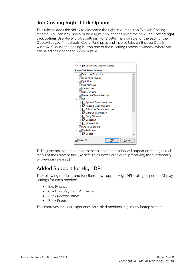### <span id="page-17-2"></span><span id="page-17-0"></span>Job Costing Right-Click Options

This release adds the ability to customise the right-click menu on Exo Job Costing<br>records. You can now show or hide right-click options using the new **Job Costing right<br>click options** User-level profile settings—one setti



Ticking the box next to an option means that that option will appear on the right-click menu of the relevant tab. (By default, all boxes are ticked, preserving the functionality of previous releases.)

### <span id="page-17-1"></span>Added Support for High DPI

The following modules and functions now support High DPI scaling as per the Display settings for each monitor:

- Exo Finance
- Creditors Payment Processor
- Bank Reconciliation
- Bank Feeds

This improves the user experience on scaled monitors, e.g. many laptop screens.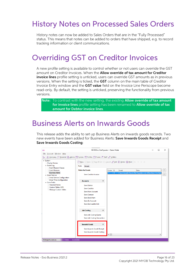# <span id="page-18-3"></span><span id="page-18-0"></span>History Notes on Processed Sales Orders

History notes can now be added to Sales Orders that are in the "Fully Processed" status. This means that notes can be added to orders that have shipped, e.g. to record tracking information or client communications.

### <span id="page-18-1"></span>Overriding GST on Creditor Invoices

A new profile setting is available to control whether or not users can override the GST amount on Creditor Invoices. When the **Allow override of tax amount for Creditor invoice lines** profile setting is unticked, users can

Note: To contrast with the new setting, the existing **Allow override of tax amount for invoice lines** profile setting has been renamed to **Allow override of tax** amount for Debtor invoice lines.

### <span id="page-18-2"></span>Business Alerts on Inwards Goods

This release adds the ability to set up Business Alerts on inwards goods records. Two<br>new events have been added for Business Alerts: **Save Inwards Goods Receipt** and Save Inwards Goods Costing:

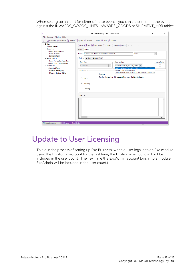When setting up an alert for either of these events, you can choose to run the events against the INWARDS\_GOODS\_LINES, INWARDS\_GOODS or SHIPMENT\_HDR tables:

| <b>CX</b>                                                                                                                                                                                                                                                                                                                            | MYOB Exo Configurator - Demo Mode<br>п                                                                                                                                                                                                                                                                                                                                                                                                                                                                                                                                                                                  | X             |
|--------------------------------------------------------------------------------------------------------------------------------------------------------------------------------------------------------------------------------------------------------------------------------------------------------------------------------------|-------------------------------------------------------------------------------------------------------------------------------------------------------------------------------------------------------------------------------------------------------------------------------------------------------------------------------------------------------------------------------------------------------------------------------------------------------------------------------------------------------------------------------------------------------------------------------------------------------------------------|---------------|
| File Account Window Help                                                                                                                                                                                                                                                                                                             |                                                                                                                                                                                                                                                                                                                                                                                                                                                                                                                                                                                                                         |               |
| Ľ.                                                                                                                                                                                                                                                                                                                                   | n Company <= Essential B Admin       System P   Profiles → Forms PR Staff & Utilities                                                                                                                                                                                                                                                                                                                                                                                                                                                                                                                                   |               |
| $\vee$ System<br><b>Display Names</b><br>$\vee$ Event Log<br><b>Event Reason Classes</b><br><b>Event Reasons</b><br><b>Business Alerts</b><br>$\vee$ Email Service<br><b>Email Service Configuration</b><br>Email Time Configuration<br>$\vee$ Extra Fields<br><b>Standard Tables</b><br>Custom Tables (API)<br>Manage Custom Tables | ↑ New □ Save ⊠ Save & Exit ② Cancel Ⅲ Delete □ Print   K < > ><br><b>Details</b><br><b>Rules</b><br>Active<br>Name: Supplier cost differs from the Standard cost<br>$\overline{\phantom{a}}$<br>Options Actions Apply to Staff<br><b>Invert Rule:</b><br>Run Against:<br><b>Rule Type:</b><br>Lines (INWARDS_GOODS_LINES)<br><b>SQL Query</b><br>$\;$<br>Lines (INWARDS GOODS LINES)<br>Header (INWARDS GOODS)<br><b>Behaviour:</b><br>Shipments (SHIPMENT_HDR) if tracking shipment costs<br>Message:<br>The Supplier cost on this receipt differs from the Standard cost.<br>◯ Silent<br><b>Warning</b><br>◯ Blocking |               |
|                                                                                                                                                                                                                                                                                                                                      | Event SQL:                                                                                                                                                                                                                                                                                                                                                                                                                                                                                                                                                                                                              |               |
|                                                                                                                                                                                                                                                                                                                                      | $\checkmark$                                                                                                                                                                                                                                                                                                                                                                                                                                                                                                                                                                                                            | $\rightarrow$ |
| Motopartz.com.au<br>Demo                                                                                                                                                                                                                                                                                                             | ExoAdmin                                                                                                                                                                                                                                                                                                                                                                                                                                                                                                                                                                                                                |               |

### <span id="page-19-0"></span>Update to User Licensing

To aid in the process of setting up Exo Business, when a user logs in to an Exo module using the ExoAdmin account for the first time, the ExoAdmin account will not be included in the user count. (The next time the ExoAdmin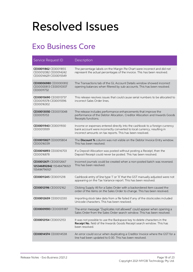# <span id="page-20-0"></span>Resolved Issues

## <span id="page-20-1"></span>Exo Business Core

| Service Request ID                                                      | Description                                                                                                                                                                                                         |
|-------------------------------------------------------------------------|---------------------------------------------------------------------------------------------------------------------------------------------------------------------------------------------------------------------|
| CE00011862 CE00011855<br>CE00012082 CE00014242<br>CE00014629 CE00015549 | The percentage labels on the Margin Pie Chart were incorrect and did not<br>represent the actual percentages of the invoice. This has been resolved.                                                                |
| CE00006980 CE00000812<br>CE00000813 CE00010307<br>CE00011732            | The Transactions tab of the GL Account Details window showed incorrect<br>opening balances when filtered by sub-accounts. This has been resolved.                                                                   |
| CE00015690 CE00013737<br>CE00015578 CE00015596<br>CE00016302            | This release resolves issues that could cause serial numbers to be allocated to<br>incorrect Sales Order lines.                                                                                                     |
| CE00013050 CE00013048<br>CE00015153                                     | The release includes performance enhancements that improve the<br>performance of the Debtor Allocation, Creditor Allocation and Inwards Goods<br>Receipts functions.                                                |
| CE00011943 CE00011930<br>CE00013939                                     | Income or expenses entered directly into the cashbook to a foreign currency<br>bank account were incorrectly converted to local currency, resulting in<br>incorrect amounts on tax reports. This has been resolved. |
| CE00015827 CE00015804<br>CE00016039                                     | The Discount % column was not visible on the Debtor Invoice Entry window.<br>This has been resolved.                                                                                                                |
| CE00016893 CE00016703<br>CE00016878                                     | If a Deposit Allocation was posted without posting a Receipt, then the<br>Deposit Receipt could never be posted. This has been resolved.                                                                            |
| CE00012671 CE00012667<br>125346892842 155484796921<br>155484796921      | Incorrect journals could be created when a non-posted batch was reversed.<br>This has been resolved.                                                                                                                |
| CE00011245 CE00011218                                                   | Cashbook entry of line type 'I' or 'X' that the GST manually adjusted were not<br>appearing on the Tax Variance report. This has been resolved.                                                                     |
| CE00012196 CE00012162                                                   | Clicking Supply All for a Sales Order with a backordered item caused the<br>order of the items on the Sales Order to change. This has been resolved.                                                                |
| CE00012659 CE00012330                                                   | Importing stock take data from a file failed if any of the stockcodes included<br>Unicode characters. This has been resolved.                                                                                       |
| CE00009593 CE00009387                                                   | The error message "Duplicates not allowed" could appear when opening a<br>Sales Order from the Sales Order search window. This has been resolved.                                                                   |
| CE00012154 CE00012153                                                   | It was not possible to use the Backspace key to delete characters in the<br>Receipt No. field of the Inwards Goods Receipt search window. This has<br>been resolved.                                                |
| CE00014574 CE00014538                                                   | An error could occur when duplicating a Creditor Invoice where the GST for a<br>line had been updated to 0.00. This has been resolved.                                                                              |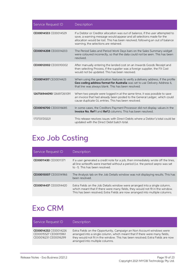| Service Request ID        | Description                                                                                                                                                                                                                                                                       |
|---------------------------|-----------------------------------------------------------------------------------------------------------------------------------------------------------------------------------------------------------------------------------------------------------------------------------|
| CE00014533 CE00014529     | If a Debtor or Creditor allocation was out of balance, if the user attempted to<br>save, a warning message would appear and all selections made for the<br>allocation would be lost. This has been resolved; following an out of balance<br>warning, the selections are retained. |
| CE00014208 CE00014203     | The Period Sales and Period Work Days bars on the Sales Summary widget<br>were coloured incorrectly, so that the data could not be seen. This has been<br>resolved.                                                                                                               |
| CE00012002 CE00010002     | After manually entering the landed cost on an Inwards Goods Receipt and<br>then selecting Process, if the supplier was a foreign supplier, the FX Cost<br>would not be updated. This has been resolved.                                                                           |
| CE00014517 CE00014423     | When using the geolocation features to verify a delivery address, if the profile<br>Geo coding address format for Australia was set to use Delivery Address 6,<br>that line was always blank. This has been resolved.                                                             |
| 126756944090 126697261091 | When two people were logged in at the same time, it was possible to save<br>an invoice that had already been posted to the General Ledger, which could<br>cause duplicate GL entries. This has been resolved.                                                                     |
| CE00016700 CE00016685     | In some cases, the Creditors Payment Processor did not display values in the<br>Invoice No, Ref 1 and Ref 2 columns. This has been resolved.                                                                                                                                      |
| 173733720221              | This release resolves issues with Direct Debits where a Debtor's total could be<br>updated with the Direct Debit batch total.                                                                                                                                                     |

# <span id="page-21-0"></span>Exo Job Costing

| Service Request ID    | <b>Description</b>                                                                                                                                                                                                                          |
|-----------------------|---------------------------------------------------------------------------------------------------------------------------------------------------------------------------------------------------------------------------------------------|
| CE00011430 CE00011371 | If a user generated a credit note for a job, then immediately wrote off the lines,<br>all line writeoffs were inserted without a period (i.e. the period seqno was set<br>to -1). This has been resolved.                                   |
| CE00015007 CE00014966 | The Analysis tab on the Job Details window was not displaying results. This has<br>been resolved.                                                                                                                                           |
| CE00014437 CE00014420 | Extra Fields on the Job Details window were arranged into a single column,<br>which meant that if there were many fields, they would not fit in the window.<br>This has been resolved; Extra Fields are now arranged into multiple columns. |

## <span id="page-21-1"></span>Exo CRM

| Service Request ID                                                      | <b>Description</b>                                                                                                                                                                                                                                                       |
|-------------------------------------------------------------------------|--------------------------------------------------------------------------------------------------------------------------------------------------------------------------------------------------------------------------------------------------------------------------|
| CE00014232 CE00014226<br>CE00015527 CE00015961<br>CE00016231 CE00016299 | Extra Fields on the Opportunity, Campaign an Non Account windows were<br>arranged into a single column, which meant that if there were many fields,<br>they would not fit in the window. This has been resolved; Extra Fields are now<br>arranged into multiple columns. |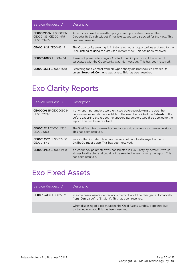| Service Request ID                                           | <b>Description</b>                                                                                                                                                      |
|--------------------------------------------------------------|-------------------------------------------------------------------------------------------------------------------------------------------------------------------------|
| CE00009886 CE00009868<br>CE00011351 CE00011475<br>CE00013465 | An error occurred when attempting to set up a custom view on the<br>Opportunity Search widget, if multiple stages were selected for the view. This<br>has been resolved |
| CE00013127 CE00013119                                        | The Opportunity search grid initially searched all opportunities assigned to the<br>user, instead of using the last used custom view. This has been resolved.           |
| CE00014817 CE00014814                                        | It was not possible to assign a Contact to an Opportunity, if the account<br>associated with the Opportunity was Non Account. This has been resolved.                   |
| CE00015664 CE00015548                                        | Searching for a Contact from an Opportunity did not show correct results<br>unless <b>Search All Contacts</b> was ticked. This has been resolved                        |

# <span id="page-22-0"></span>Exo Clarity Reports

| Service Request ID                  | <b>Description</b>                                                                                                                                                                                                                                                                   |
|-------------------------------------|--------------------------------------------------------------------------------------------------------------------------------------------------------------------------------------------------------------------------------------------------------------------------------------|
| CE00009645 CE00009034<br>CE00012997 | If any report parameters were unticked before previewing a report, the<br>parameters would still be available. If the user then clicked the <b>Refresh</b> button<br>before exporting the report, the unticked parameters would be applied to the<br>report. This has been resolved. |
| CE00015119 CE00014905<br>CE00015163 | The ShellExecute command caused access violation errors in newer versions.<br>This has been resolved.                                                                                                                                                                                |
| CE00013387 CE00012900<br>CE00014142 | Reports that included date parameters could not be displayed in the Exo<br>On The Go mobile app. This has been resolved.                                                                                                                                                             |
| CE00014962 CE00014938               | If a check box parameter was not selected in Exo Clarity by default, it would<br>always be disabled and could not be selected when running the report. This<br>has been resolved.                                                                                                    |

### <span id="page-22-1"></span>Exo Fixed Assets

| Service Request ID    | <b>Description</b>                                                                                                                   |
|-----------------------|--------------------------------------------------------------------------------------------------------------------------------------|
| CE00015413 CE00015377 | In some cases, assets' depreciation method would be changed automatically<br>from "Dim Value" to "Straight". This has been resolved. |
|                       | When disposing of a parent asset, the Child Assets window appeared but<br>contained no data. This has been resolved.                 |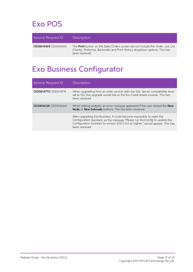## <span id="page-23-0"></span>Exo POS

| Service Request ID    | <b>Description</b>                                                                                                                                                                        |
|-----------------------|-------------------------------------------------------------------------------------------------------------------------------------------------------------------------------------------|
| CE00014503 CE00014501 | The <b>Print</b> button on the Sales Orders screen did not include the Order, List, List<br>(Clarity), Proforma, Backorder and Print History dropdown options. This has<br>been resolved. |

## <span id="page-23-1"></span>Exo Business Configurator

| Service Request ID    | <b>Description</b>                                                                                                                                                                                                                                        |
|-----------------------|-----------------------------------------------------------------------------------------------------------------------------------------------------------------------------------------------------------------------------------------------------------|
| CE00014773 CE00014714 | When upgrading from an older version with the SQL Server compatibility level<br>set to 150, the upgrade would fail on the Exo Fixed Assets module. This has<br>been resolved.                                                                             |
| CE00016335 CE00016324 | When editing widgets, an error message appeared if the user clicked the <b>New</b><br><b>Node or New Subnode</b> buttons. This has been resolved.                                                                                                         |
|                       | After upgrading Exo Business, it could become impossible to open the<br>Configuration Assistant, as the message "Please run ExoConfig to update Exo<br>Configuration Assistant to version 2021.1.0.0 or higher." would appear. This has<br>been resolved. |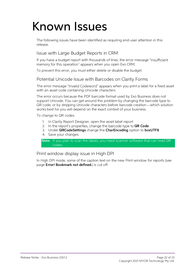# <span id="page-24-0"></span>Known Issues

The following issues have been identified as requiring end-user attention in this release.

#### Issue with Large Budget Reports in CRM

If you have a budget report with thousands of lines, the error message "Insufficient memory for this operation" appears when you open Exo CRM.

To prevent this error, you must either delete or disable the budget.

#### Potential Unicode Issue with Barcodes on Clarity Forms

The error message "Invalid Codeword" appears when you print a label for a fixed asset<br>with an asset code containing Unicode characters.

The error occurs because the PDF barcode format used by Exo Business does not support Unicode. You can get around this problem by changing the barcode type to QR code, or by stripping Unicode characters before barcode crea

To change to QR codes:

- 1. In Clarity Report Designer, open the asset label report
- 2. In the report's properties, change the barcode type to  $QR Code$ .
- 3. Under QRCodeSettings change the CharEncoding option to bceUTF8.
- 4. Save your changes.

Note: If you plan to scan the labels, you need scanner software that can read QR codes.

#### Print window display issue in High DPI

In High DPI mode, some of the caption text on the new Print window for reports (see page **Error! Bookmark not defined.**) is cut off.